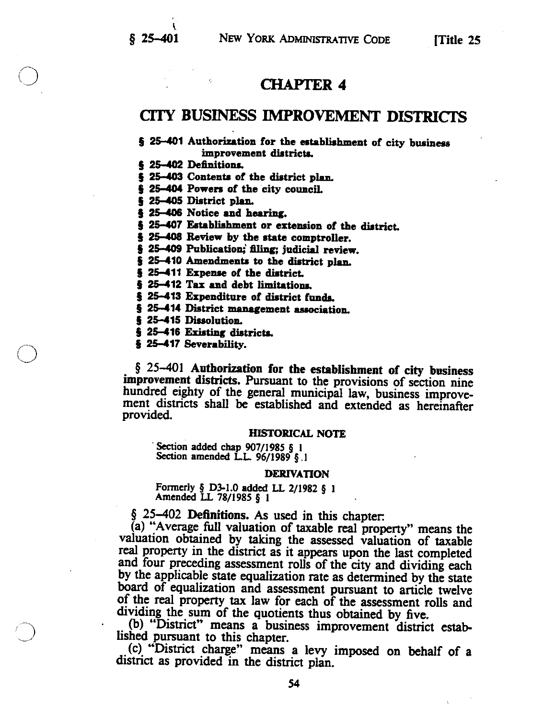# CHAPTER 4

# CITY BUSINESS IMPROVEMENT DISTRICTS

# § 25-401 Authorization for the establishment of city business improvement districts.

§ 25-402 Definitions.

5 25-403 Contents of the district plan.

§ 25-404 Powers of the city council.

5 25—405 District plan.

§ 25-406 Notice and hearing.

§ 25-407 Establishment or extension of the district.

§ 25-408 Review by the state comptroller.

§ 25-409 Publication; filing; judicial review.

§ 25-410 Amendments to the district plan.

5 25-411 Expense of the district.

§ 25-412 Tax and debt limitations.

§ 25-413 Expenditure of district funds.

§ 25-414 District management association.

§ 25-415 Dissolution.

5 25—415 Existing districts.

5 25—417 Severability.

§ 25–401 Authorization for the establishment of city business improvement districts. Pursuant to the provisions of section nine hundred eighty of the general municipal law, business improve ment districts shall be established and extended as hereinafter provided.

#### HISTORICAL NOTE

Section added chap 907/1985 § 1<br>Section amended L.L. 96/1989 § 1

#### DERIVATION

Formerly <sup>4</sup> 1)3-1.0 added LL 2/1982 § <sup>1</sup> Amended LL 78/1985 § <sup>1</sup>

 $\S$  25–402 **Definitions.** As used in this chapter:<br>
(a) "Average full valuation of taxable real property" means the valuation obtained by taking the assessed valuation of taxable real property in the district as it appear

(b) "District" means a business improvement district estab-

<sup>a</sup> levy imposed on behalf of a district as provided in the district plan.

54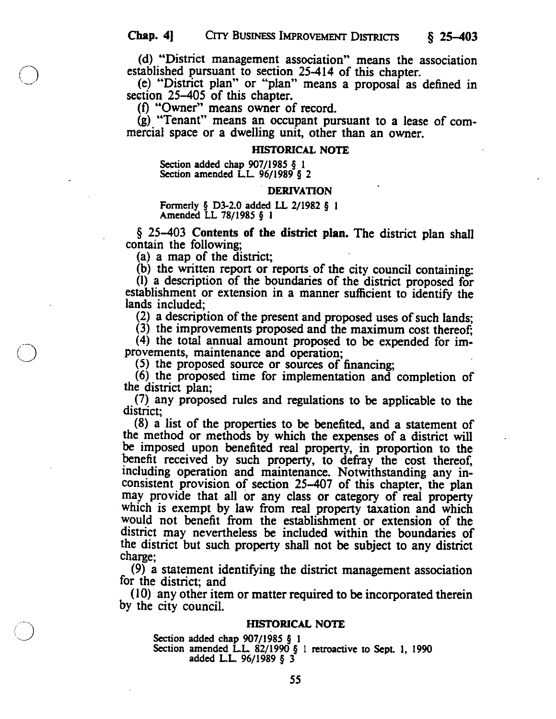(d) "District management association" means the association established pursuant to section 25-414 of this chapter.

(e) "District plan" or "plan" means <sup>a</sup> proposal as defined in section 25–405 of this chapter.<br>(f) "Owner" means owner of record.

(g) "Tenant" means an occupant pursuant to <sup>a</sup> lease of com mercial space or <sup>a</sup> dwelling unit, other than an owner.

# HISTORICAL NOTE

Section added chap 907/1985 § 1<br>Section amended L.L. 96/1989 § 2

#### DERIVATION

Formerly § D3-2.0 added LL 2/1982 § 1<br>Amended LL 78/1985 § 1

 $§$  25–403 Contents of the district plan. The district plan shall contain the following;

 $(a)$  a map of the district;

(b) the written report or reports of the city council containing: (1) <sup>a</sup> description of the boundaries of the district proposed for establishment or extension in a manner sufficient to identi& the lands included;

(2) <sup>a</sup> description of the present and proposed uses of such lands;

(3) the improvements proposed and the maximum cost thereof;  $(4)$  the total annual amount proposed to be expended for improvements, maintenance and operation;

(5) the proposed source or sources of financing; (6) the proposed time for implementation and completion of the district plan;

(7) any proposed rules and regulations to be applicable to the district;

(8) <sup>a</sup> list of the properties to be benefited, and a statement of the method or methods by which the expenses of a district will be imposed upon benefited real property, in proportion to the benefit received by such property, to defray the cost thereof, including operation and maintenance. Notwithstanding any in consistent provision of section 25—407 of this chapter, the plan may provide that all or any class or category of real property which is exempt by law from real property taxation and which would not benefit from the establishment or extension of the district may nevertheless be included within the boundaries of the district but such property shall not be subject to any district charge;

(9) a statement identifying the district management association for the district: and

for the district; and<br>(10) any other item or matter required to be incorporated therein<br>by the city council.

# HISTORICAL NOTE

Section added chap 907/1985 § 1<br>Section amended L.L. 82/1990 § 1 retroactive to Sept. 1, 1990<br>added L.L. 96/1989 § 3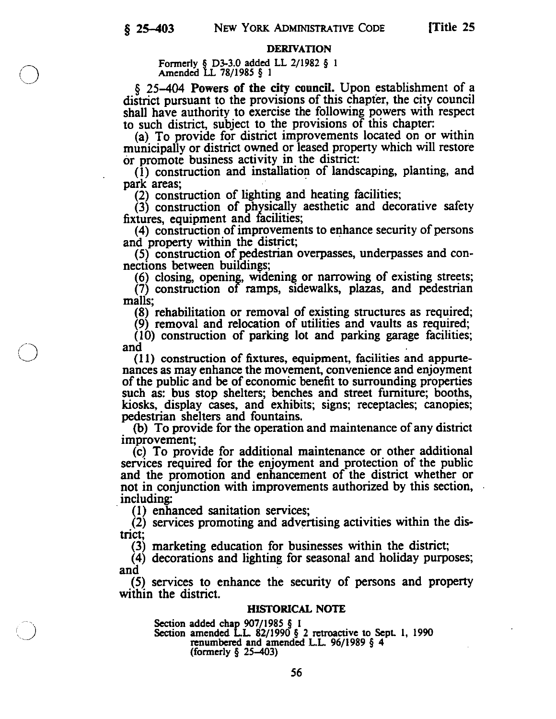# DERIVATION

Formerly § D3-3.0 added LL  $2/1982 \S 1$ Amended LL 78/1985 § 1

 $\S$  25–404 Powers of the city council. Upon establishment of a district pursuant to the provisions of this chapter, the city council shall have authority to exercise the following powers with respect to such district, subject to the provisions of this chapter:<br>(a) To provide for district improvements located on or within

municipally or district owned or leased property which will restore<br>or promote business activity in the district:

(1) construction and installation of landscaping, planting, and<br>park areas;<br>(2) construction of lighting and heating facilities;<br>(3) construction of physically aesthetic and decorative safety<br>fixtures, equipment and facil

nections between buildings;<br>(6) closing, opening, widening or narrowing of existing streets;<br>(7) construction of ramps, sidewalks, plazas, and pedestrian malls;

(8) rehabilitation or removal of existing structures as required; (9) removal and relocation of utilities and vaults as required; (10) construction of parking lot and parking garage facilities; and

(11) construction of fixtures, equipment, facilities and appurte nances as may enhance the movement, convenience and enjoyment of the public and be of economic benefit to surrounding properties such as: bus stop shelters; benches and street furniture; booths,

kiosks, display cases, and exhibits; signs; receptacles; canopies; pedestrian shelters and fountains.<br>(b) To provide for the operation and maintenance of any district improvement;<br>(c) To provide for additional maintenance

services required for the enjoyment and protection of the public and the promotion and enhancement of the district whether or not in conjunction with improvements authorized by this section,<br>including:<br>(1) enhanced sanitation services;<br>(2) services promoting and advertising activities within the dis-

trict;

(3) marketing education for businesses within the district; (4) decorations and lighting for seasonal and holiday purposes; and

(5) services to enhance the security of persons and property within the district.

# HISTORICAL NOTE

Section added chap 907/1985 § 1<br>Section amended L.L. 82/1990 § 2 retroactive to Sept. 1, 1990<br>renumbered and amended L.L. 96/1989 § 4<br>(formerly § 25–403)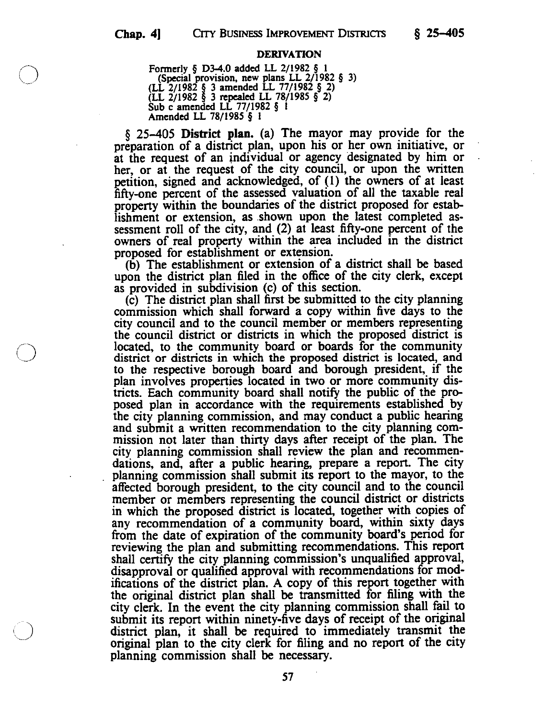#### DERIVATION

Formerly § D3-4.0 added LL 2/1982 § 1<br>(Special provision, new plans LL 2/1982 § 3)<br>(LL 2/1982 § 3 amended LL 77/1982 § 2)<br>Sub c amended LL 77/1982 § 1<br>Amended LL 78/1985 § i

§ 25—405 District plan. (a) The mayor may provide for the preparation of <sup>a</sup> district plan, upon his or her own initiative, or at the request of an individual or agency designated by him or<br>her, or at the request of the city council, or upon the written<br>petition, signed and acknowledged, of (1) the owners of at least<br>fifty-one percent of the asses property within the boundaries of the district proposed for estab-<br>lishment or extension, as shown upon the latest completed assessment roll of the city, and (2) at least fifty-one percent of the owners of real property within the area included in the district

proposed for establishment or extension. (b) The establishment or extension of a district shall be based upon the district plan filed in the office of the city clerk, except as provided in subdivision (c) of this section.

(c) The district plan shall first be submitted to the city planning commission which shall forward a copy within five days to the city council and to the council member or members representing the council district or districts in which the proposed district is located, to the community board or boards for the community district or districts in which the proposed district is located, and to the respective borough board and borough president, if the plan involves properties located in two or more community districts. Each community board shall notify the public of the proposed plan in accordance with the requirements established by the city planning commission, and may conduct a public hearing and submit a written recommendation to the city planning commission not later than thirty days after receipt of the plan. The city planning commission shall review the plan and recommendations, and, after <sup>a</sup> public hearing, prepare <sup>a</sup> report. The city planning commission shall submit its report to the mayor, to the affected borough president, to the city council and to the council member or members representing the council district or districts in which the proposed district is located, together with copies of any recommendation of <sup>a</sup> community board, within sixty days from the date of expiration of the community board's period for reviewing the plan and submitting recommendations. This report shall certify the city planning commission's unqualified approval, disapproval or qualified approval with recommendations for mod ifications of the district plan. A copy of this report together with the original district plan shall be transmitted for filing with the city clerk. In the event the city planning commission shall fail to submit its report within ninety-five days of receipt of the original district plan, it shall be required to immediately transmit the original plan to the city clerk for filing and no report of the city planning commission shall be necessary.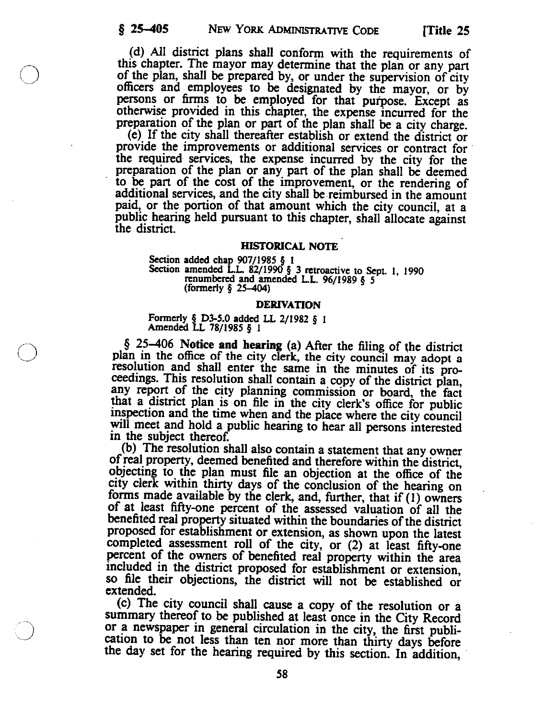(d) All district plans shall conform with the requirements of this chapter. The mayor may determine that the plan or any part of the plan, shall be prepared by, or under the supervision of city officers and employees to be designated by the mayor, or by persons or firms to be employed for that purpose. Except as otherwise provided in this chapter, the expense incurred for the preparation of the plan or part of the plan shall be a city charge.<br>(e) If the city shall thereafter establish or extend the district or

preparation of the plan or part of the plan shall be a city charge.<br>(e) If the city shall thereafter establish or extend the district or provide the improvements or additional services or contract for the required services paid, or the portion of that amount which the city council, at a public hearing held pursuant to this chapter, shall allocate against the district.

## HISTORICAL NOTE

Section added chap 907/1985 § 1<br>Section amended L.L. 82/1990 § 3 retroactive to Sept. 1, 1990<br>renumbered and amended L.L. 96/1989 § 5<br>(formerly § 25–404)

# DERIVATION

Formerly § D3-5.0 added LL 2/1982 § <sup>I</sup> Amended LL 78/1985 § <sup>1</sup>

 $§$  25–406 Notice and hearing (a) After the filing of the district plan in the office of the city clerk, the city council may adopt a resolution and shall enter the same in the minutes of its proceedings. This resolution shall contain a copy of the district plan, any report of the city planning commission or board, the fact that a district plan is on file in the city clerk's office for public inspection and the time when and the place where the city council

will meet and hold a public hearing to hear all persons interested<br>in the subject thereof.<br>(b) The resolution shall also contain a statement that any owner<br>of real property, deemed benefited and therefore within the distri objecting to the plan must file an objection at the office of the<br>city clerk within thirty days of the conclusion of the hearing on<br>forms made available by the clerk, and, further, that if (1) owners<br>of at least fifty-one so file their objections, the district will not be established or extended.

(c) The city council shall cause <sup>a</sup> copy of the resolution or a summary thereof to be published at least once in the City Record or a newspaper in general circulation in the city, the first publication to be not less than ten nor more than thirty days before the day set for the hearing required by this section. In addition,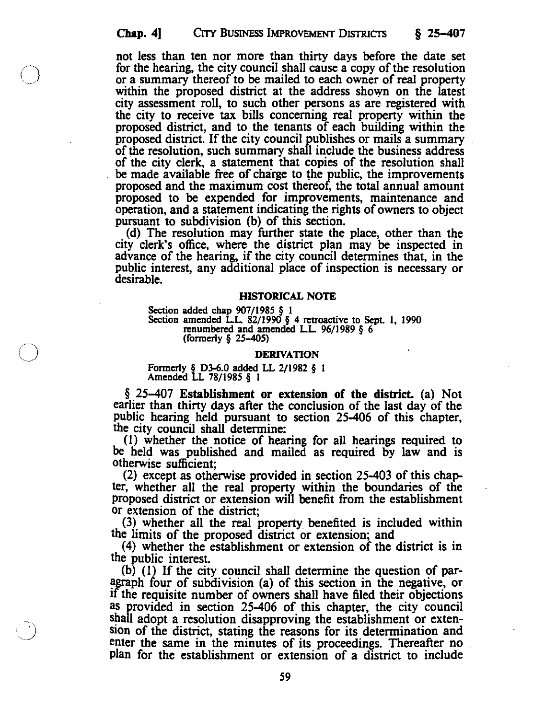not less than ten nor more than thirty days before the date set for the hearing, the city council shall cause a copy of the resolution or a summary thereof to be mailed to each owner of real property within the proposed district at the address shown on the latest<br>city assessment roll, to such other persons as are registered with<br>the city to receive tax bills concerning real property within the<br>proposed district, and to of the resolution, such summary shall include the business address of the city clerk, a statement that copies of the resolution shall be made available free of charge to the public, the improvements of the city clerk, a statement that copies of the resolution shall<br>be made available free of charge to the public, the improvements<br>proposed and the maximum cost thereof, the total annual amount<br>proposed to be expended for

operation, and a statement indicating the rights of owners to object<br>pursuant to subdivision (b) of this section.<br>(d) The resolution may further state the place, other than the<br>city clerk's office, where the district plan

#### HISTORICAL NOTE

Section added chap 907/1985 § 1<br>Section amended L.L. 82/1990 § 4 retroactive to Sept. 1, 1990<br>renumbered and amended L.L. 96/1989 § 6<br>(formerly § 25–405)

#### DERIVATION

Formerly § D3-6.0 added LL 2/1982 § <sup>I</sup> Amended LL 78/1985 § <sup>I</sup>

 $\S$  25-407 Establishment or extension of the district. (a) Not<br>earlier than thirty days after the conclusion of the last day of the<br>public hearing held pursuant to section 25-406 of this chapter,<br>the city council shall de

(2) except as otherwise provided in section <sup>25403</sup> of this chap ter, whether all the real property within the boundaries of the proposed district or extension will benefit from the establishment or extension of the district;

(3) whether all the real property benefited is included within<br>the limits of the proposed district or extension; and<br>(4) whether the establishment or extension of the district is in<br>the public interest.<br>(b) (l) If the cit if the requisite number of owners shall have filed their objections as provided in section 25-406 of this chapter, the city council shall adopt a resolution disapproving the establishment or extension of the district, stating the reasons for its determination and enter the same in the minutes of its proceedings. Thereafter no plan for the establishment or extension of a district to include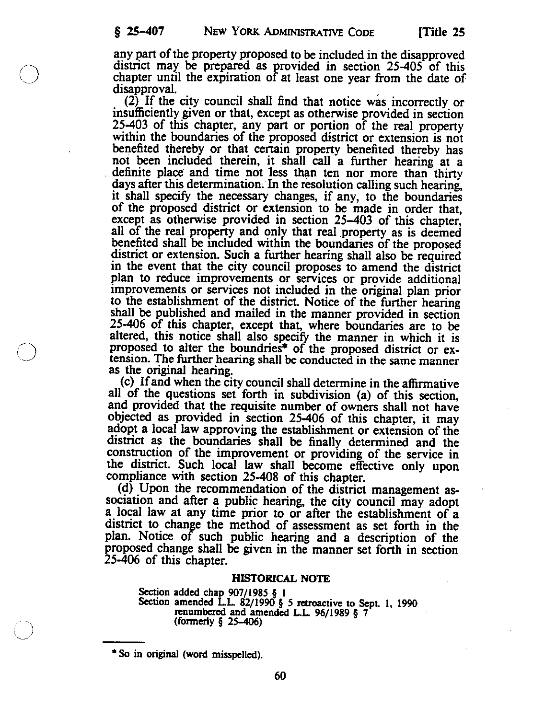any part ofthe property proposed to be included in the disapproved district may be prepared as provided in section 25-405 of this chapter until the expiration of at least one year from the date of disapproval.

(2) If the city council shall find that notice was incorrectly or insufficiently given or that, except as otherwise provided in section 25-403 of this chapter, any part or portion of the real property within the boundaries of the proposed district or extension is not benefited thereby or that certain property benefited thereby has not been included therein, it shall call a further hearing at a definite place and time not less than ten nor more than thirty<br>days after this determination. In the resolution calling such hearing,<br>it shall specify the necessary changes, if any, to the boundaries<br>of the proposed distri except as otherwise provided in section 25–403 of this chapter, all of the real property and only that real property as is deemed benefited shall be included within the boundaries of the proposed district or extension. Such a further hearing shall also be required<br>in the event that the city council proposes to amend the district<br>plan to reduce improvements or services or provide additional improvements or services not included in the original plan prior to the establishment of the district. Notice of the further hearing shall be published and mailed in the manner provided in section 25-406 of this chapter, except that, where boundaries are to be altered, this notice shall also specify the manner in which it is proposed to alter the boundries\* of the proposed district or extension. The further hearing shall be conducted in the same manner

as the original hearing. (c) Ifand when the city council shall determine in the affirmative all of the questions set forth in subdivision (a) of this section, and provided that the requisite number of owners shall not have objected as provided in section 25-406 of this chapter, it may adopt a local law approving the establishment or extension of the district as the boundaries shall be finally determined and the construction of the improvement or providing of the service in the district. Such local law shall become effective only upon

compliance with section 25-408 of this chapter.<br>(d) Upon the recommendation of the district management association and after <sup>a</sup> public hearing, the city council may adopt a local law at any time prior to or after the establishment of a district to change the method of assessment as set forth in the plan. Notice of such public hearing and a description of the proposed change shall be given in the manner set forth in section 25406 of this chapter.

## HISTORICAL NOTE

Section added chap  $907/1985 \S 1$ <br>Section amended L.L. 82/1990  $\S 5$  retroactive to Sept. 1, 1990<br>renumbered and amended L.L. 96/1989  $\S 7$ <br>(formerly  $\S 25-406$ )

So in original (word misspelled).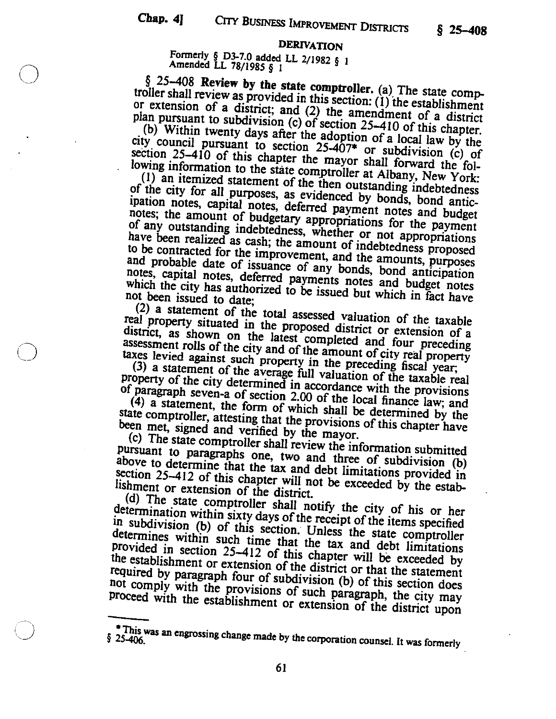§ 25—408  $\S$  25–408

# DERIVATION

Formerly § D3-7.O added LL 2/1982 § <sup>I</sup> Amended LL 78/1985 § <sup>I</sup>

§ 25–408 Review by the state comptroller. (a) The state comptroller shall review as provided in this section: (1) the establishment or extension of a district; and (2) the amendment of a district or extension of a districty and  $(2)$  the amendment of  $\alpha$  is the amendment

plan pursuant to subdivision (c) of section 25–410 of this chapter.<br>(b) Within twenty days after the adoption of a local law by the city council pursuant to section  $25-407^*$  or subdivision (c) of (b) Within twenty days after the adoption of a local law by the city council pursuant to section  $25-407^*$  or subdivision (c) of section  $25-410$  of this chapter the mayor shall forward the fol-

lowing information to the state comptroller at Albany, New York:<br>(1) an itemized statement of the then outstanding indebtedness<br>of the city for all purposes, as evidenced by bonds, bond antic-<br>ipation notes, capital notes, notes, capital notes, deferred payments notes and budget notes which the city has authorized to be issued but which in fact have not been issued to date;

(2) a statement of the total assessed  $\sim$   $\frac{1}{2}$ real property situated in the proposed valuation of the taxat a district, as shown on the latest completed assemble or extension of a district, as shown on the latest completed and four preceding assessment rolls of the city and of the amount of city real property taxes levied against such property in the preceding fiscal year,

(3) a statement of the average full valuation of the taxable real

property of the city determined in accordance with the provisions of paragraph seven-a of section 2.00 of the local finance law; and (4) a statement, the form of which shall be determined by the of paragraph seven-a of section 2.00 of the local finance law; and

state comptroller, attesting that the provisions of this chapter have<br>been met, signed and verified by the mayor.<br>(c) The state comptroller shall review the information submitted<br>pursuant to paragraphs one, two and three o above to determine that the tax and debt limitations provided in section 25-412 of this chapter will not be exceeded by the establishment or extension of the district.

(d) The state comptroller shall notify the city of his or her determination within sixty days of the receipt of the items specified<br>in subdivision (b) of this section. Unless the state comptroller<br>determines within such time that the tax and debt limitations in subdivision (b) of this section. Unless the state comptroller provided in section 25–412 of this chapter will be exceeded by the establishment or extension of the district or that the statement required by paragraph four of subdivision (b) of this section does<br>not comply with the provisions of such paragraph, the city may<br>proceed with the establishment or extension of the district upon not comply with the provisions of such paragraph, the city may

This was an engrossing change made by the corporation counsel. It was formerly  $$25-406$ .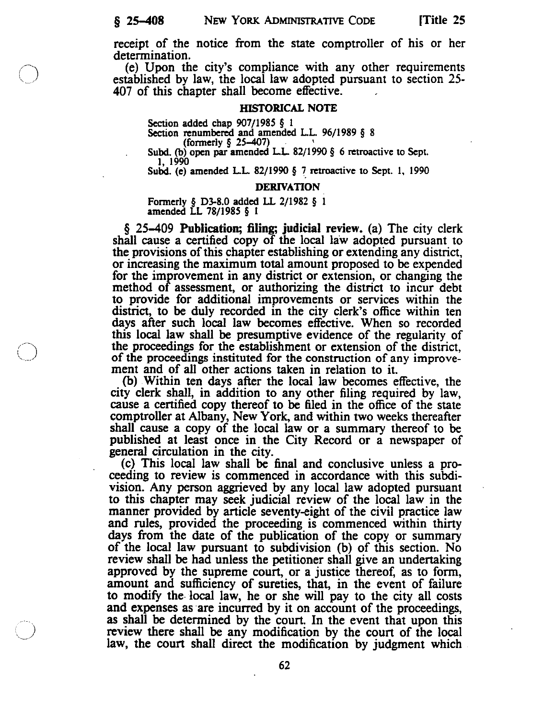receipt of the notice from the state comptroller of his or her determination.

(e) Upon the city's compliance with any other requirements established by law, the local law adopted pursuant to section 25- 407 of this chapter shall become effective.

#### HISTORICAL NOTE

Section added chap 907/1985 § 1<br>Section renumbered and amended L.L. 96/1989 § 8<br>(formerly § 25–407)<br>Subd. (b) open par amended L.L. 82/1990 § 6 retroactive to Sept.<br>1, 1990<br>Subd. (e) amended L.L. 82/1990 § 7 retroactive t

#### DERIVATION

Formerly § D3-8.0 added LL 2/1982 § 1<br>amended LL 78/1985 § 1

 $\S$  25–409 Publication; filing; judicial review. (a) The city clerk <sup>a</sup> certified copy of the local law adopted pursuant to the provisions of this chapter establishing or extending any district, or increasing the maximum total amount proposed to be expended for the improvement in any district or extension, or changing the method of assessment, or authorizing the district to incur debt to provide for additional improvements or services within the district, to be duly recorded in the city clerk's office within ten<br>days after such local law becomes effective. When so recorded<br>this local law shall be presumptive evidence of the regularity of<br>the proceedings for the es ment and of all other actions taken in relation to it.

(b) .Within ten days after the local law becomes effective, the city clerk shall, in addition to any other filing required by law, cause a certified copy thereof to be filed in the office of the state comptroller at Albany, New York, and within two weeks thereafter shall cause <sup>a</sup> copy of the local law or <sup>a</sup> summary thereof to be published at least once in the City Record or published at least once in the City Record or a newspaper of general circulation in the city. (c) This local law shall be final and conclusive unless a pro

ceeding to review is commenced in accordance with this subdivision. Any person aggrieved by any local law adopted pursuant to this chapter may seek judicial review of the local law in the manner provided by article seventy-eight of the civil practice law and rules, provided the proceeding is commenced within thirty days from the date of the publication of the copy or summary of the local law pursuant to subdivision (b) of this section. No review shall be had unless the petitioner shall give an undertaking approved by the supreme court, or <sup>a</sup> justice thereof, as to form, amount and sufficiency of sureties, that, in the event of failure to modify the. local law, he or she will pay to the city all costs and expenses as are incurred by it on account of the proceedings, as shall be determined by the court. In the event that upon this review there shall be any modification by the court of the local law, the court shall direct the modification by judgment which

62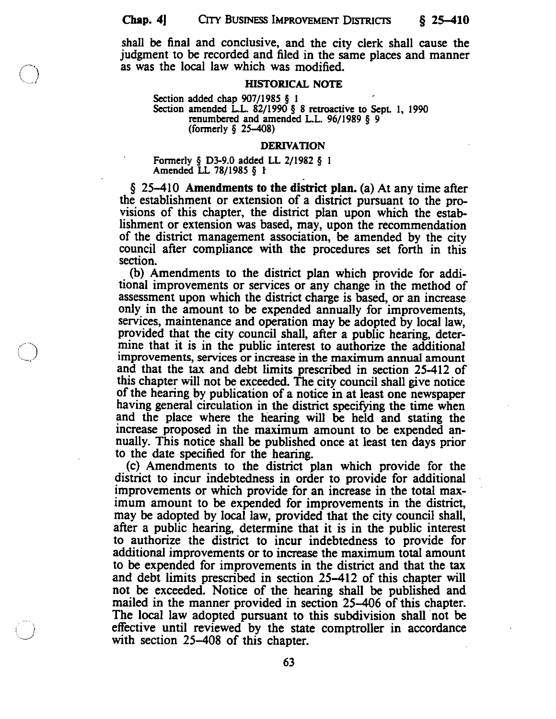shall be final and conclusive, and the city clerk shall cause the judgment to be recorded and filed in the same places and manner as was the local law which was modified.

#### HISTORICAL NOTE

Section added chap  $907/1985 \S 1$ <br>Section amended L.L. 82/1990  $\S 8$  retroactive to Sept. 1, 1990 renumbered and amended LL. 96/1989 § <sup>9</sup> (formerly § 25—408)

#### DERIVATION

Formerly § D3-9.O added LL 2/1982 § <sup>I</sup> Amended LL 78/1985 § <sup>I</sup>

 $\S$  25–410 Amendments to the district plan. (a) At any time after the establishment or extension of a district pursuant to the provisions of this chapter, the district plan upon which the estab lishment or extension was based, may, upon the recommendation of the district management association, be amended by the city council after compliance with the procedures set forth in this section.

(b) Amendments to the district plan which provide for addi tional improvements or services or any change in the method of assessment upon which the district charge is based, or an increase only in the amount to be expended annually for improvements, services, maintenance and operation may be adopted by local law, provided that the city council shall, after <sup>a</sup> public hearing, deter mine that it is in the public interest to authorize the additional improvements, services or increase in the maximum annual amount and that the tax and debt limits prescribed in section 25-412 of this chapter will not be exceeded. The city council shall give notice of the hearing by publication of <sup>a</sup> notice in at least one newspaper having general circulation in the district specifying the time when and the place where the hearing will be held and stating the Increase proposed in the maximum amount to be expended an nually. This notice shall be published once at least ten days prior to the date specified for the hearing.

(c) Amendments to the district plan which provide for the district to incur indebtedness in order to provide for additional improvements or which provide for an increase in the total max imum amount to be expended for improvements in the district, may be adopted by local law, provided that the city council shall, after <sup>a</sup> public hearing, determine that it is in the public interest to authorize the district to incur indebtedness to provide for additional improvements or to increase the maximum total amount to be expended for improvements in the district and that the tax and debt limits prescribed in section 25—412 of this chapter will not be exceeded. Notice of the hearing shall be published and mailed in the manner provided in section 25—406 of this chapter. The local law adopted pursuant to this subdivision shall not be effective until reviewed by the state comptroller in accordance with section 25—408 of this chapter.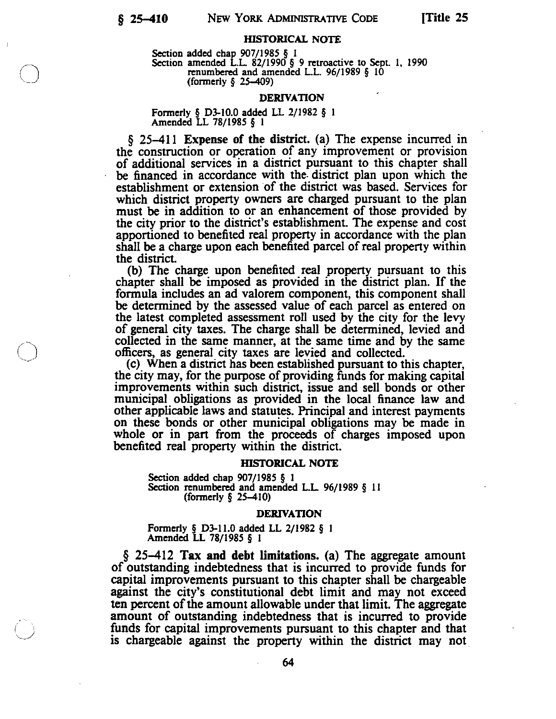# HISTORICAL NOTE

Section added chap 907/1985 § 1<br>Section amended L.L. 82/1990 § 9 retroactive to Sept. 1, 1990<br>renumbered and amended L.L. 96/1989 § 10<br>(formerly § 25–409)

#### DERIVATION

Formerly § D3-10.0 added LL 2/1982 § 1<br>Amended LL 78/1985 § 1

 $\S$  25–411 Expense of the district. (a) The expense incurred in the construction or operation of any improvement or provision of additional services in a district pursuant to this chapter shall<br>be financed in accordance with the district plan upon which the establishment or extension of the district was based. Services for which district property owners are charged pursuant to the plan must be in addition to or an enhancement of those provided by the city prior to the district's establishment. The expense and cost apportioned to benefited real property in accordance with the plan shall be a charge upon each benefited parcel of real property within the district.

(b) The charge upon benefited real property pursuant to this chapter shall be imposed as provided in the district plan. If the formula includes an ad valorem component, this component shall be determined by the assessed value of each parcel as entered on<br>the latest completed assessment roll used by the city for the levy<br>of general city taxes. The charge shall be determined, levied and<br>collected in the same ma

the city may, for the purpose of providing funds for making capital improvements within such district, issue and sell bonds or other municipal obligations as provided in the local finance law and other applicable laws and statutes. Principal and interest payments on these bonds or other municipal obligations may be made in whole or in part from the proceeds of charges imposed upon benefited real property within the district.

#### HISTORICAL NOTE

Section added chap  $907/1985 \t{5}$  1<br>Section renumbered and amended L.L. 96/1989 § 11 (formerly § 25–410)

#### DERIVATION

Formerly § D3-l1.0 added LL 2/1982 § <sup>I</sup> Amended EL 78/1985 § <sup>I</sup>

§ 25–412 Tax and debt limitations. (a) The aggregate amount of outstanding indebtedness that is incurred to provide funds for capital improvements pursuant to this chapter shall be chargeable against the city's constitutional debt limit and may not exceed ten percent of the amount allowable under that limit. The aggregate amount of outstanding indebtedness that is incurred to provide funds for capital improvements pursuant to this chapter and that is chargeable against the property within the district may not

64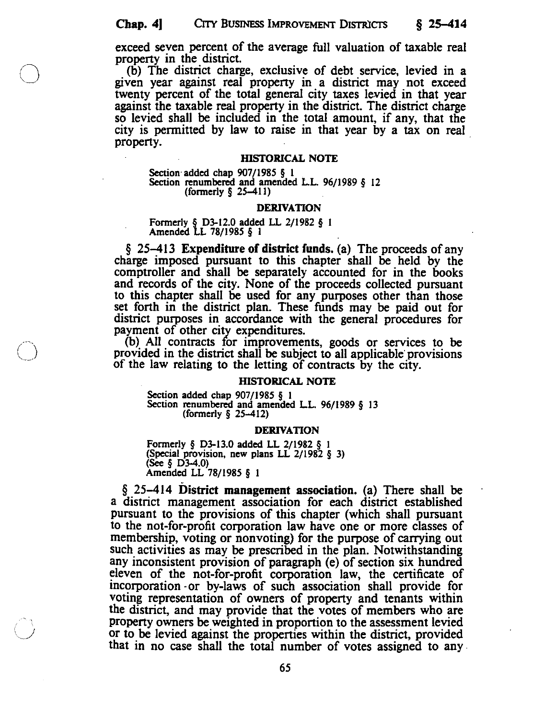exceed seven percent of the average full valuation of taxable real property in the district.<br>
(b) The district charge, exclusive of debt service, levied in a

given year against real property in <sup>a</sup> district may not exceed twenty percent of the total general city taxes levied in that year against the taxable real property in the district. The district charge so levied shall be included in the total amount, if any, that the city is permitted by law to raise in that year by a tax on real property.

#### • HISTORICAL NOTE

Section added chap  $907/1985 \t{5}$  1<br>Section renumbered and amended L.L. 96/1989  $\t{6}$  12 (formerly § 25—411)

#### DERIVATION

# Formerly § D3-12.0 added <sup>a</sup> 2/1982 § <sup>I</sup> Amended LL 78/1985 § <sup>I</sup>

 $\S$  25–413 Expenditure of district funds. (a) The proceeds of any charge imposed pursuant to this chapter shall be held by the comptroller and shall be separately accounted for in the books and records of the city. None o to this chapter shall be used for any purposes other than those set forth in the district plan. These funds may be paid out for district purposes in accordance with the general procedures for

payment of other city expenditures.<br>
(b) All contracts for improvements, goods or services to be<br>
provided in the district shall be subject to all applicable provisions<br>
of the law relating to the letting of contracts by t

# HISTORICAL NOTE

Section added chap 907/1985 § 1<br>Section renumbered and amended L.L. 96/1989 § 13<br>(formerly § 25–412)

#### DERIVATION

Formerly § D3-13.0 added LL 2/1982 § 1 (Special provision, new plans LL 2/1982 § 3)<br>(See § D3-4.0)<br>Amended LL 78/1985 § 1

§ 25—414 District management association. (a) There shall be <sup>a</sup> district management association for each district established pursuant to the provisions of this chapter (which shall pursuant to the not-for-profit corporation law have one or more classes of membership, voting or nonvoting) for the purpose of carrying out such activities as may be prescribed in the plan. Notwithstanding any inconsistent provision of paragraph (e) of section six hundred eleven of the not-for-profit corporation law, the certificate of incorporation or by-laws of such association shall provide for voting representation of owners of property and tenants within the district, and may provide that the votes of members who are property owners be weighted in proportion to the assessment levied or to be levied against the properties within the district, provided that in no case shall the total number of votes assigned to any.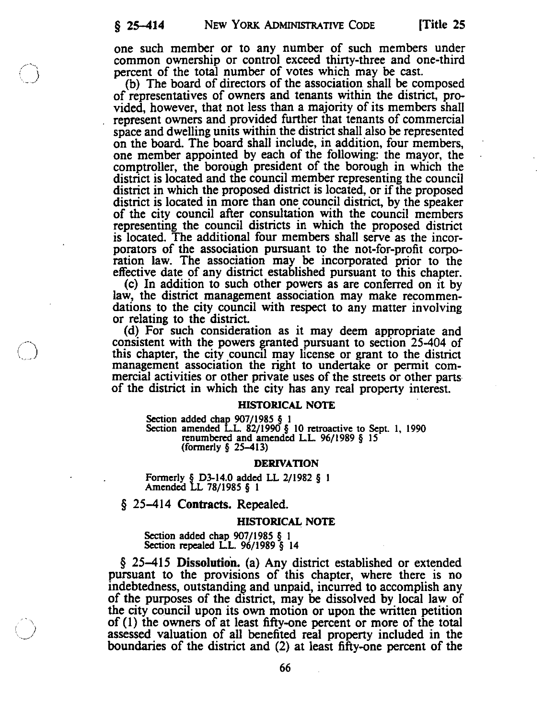one such member or to any number of such members under common ownership or control exceed thirty-three and one-third percent of the total number of Votes which may be cast.

(b) The board of directors of the association shall be composed of representatives of owners and tenants within the district, pro vided, however, that not less than <sup>a</sup> majority of its members shall represent owners and provided further that tenants of commercial space and dwelling units within the district shall also be represented on the board. The board shall include, in addition, four members, one member appointed by each of the following: the mayor, the comptroller, the borough president of the borough in which the district is located and the council member representing the council district in which the proposed district is located, or if the proposed district is located in more than one council district, by the speaker of the city council after consultation with the council members representing the council distncts in which the proposed district is located. The additional four members shall serve as the incor porators of the association pursuant to the not-for-profit corpo

ration law. The association may be incorporated prior to the effective date of any district established pursuant to this chapter.<br>(c) In addition to such other powers as are conferred on it by law, the district management

or relating to the district.<br>
(d) For such consideration as it may deem appropriate and consistent with the powers granted pursuant to section 25-404 of this chapter, the city council may license or grant to the district management association the right to undertake or permit commercial activities or other private uses of the streets or other parts of the district in which the city has any real property interest.

### HISTORICAL NOTE

Section added chap  $907/1985 \t{5}$  1<br>Section amended L.L. 82/1990  $\t{5}$  10 retroactive to Sept. 1, 1990<br>renumbered and amended L.L. 96/1989  $\t{5}$  15<br>(formerly  $\t{5}$  25–413)

#### DERIVATION

Formerly § D3-14.O added LL 2/1982 § <sup>I</sup> Amended LL 78/1985 § <sup>I</sup>

§ 25–414 Contracts. Repealed.

#### HISTORICAL NOTE

Section added chap 907/1985 § <sup>I</sup> Section repealed LL. 96/1989 § <sup>14</sup>

§ 25—415 Dissolution. (a) Any district established or extended pursuant to the provisions of this chapter, where there is no indebtedness, outstanding and unpaid, incurred to accomplish any of the purposes of the district, may be dissolved by local law of the city council upon its own motion or upon the written petition of (1) the owners of at least fifty-one percent or more of the total assessed valuation of all benefited real property included in the boundaries of the district and (2) at least fifty-one percent of the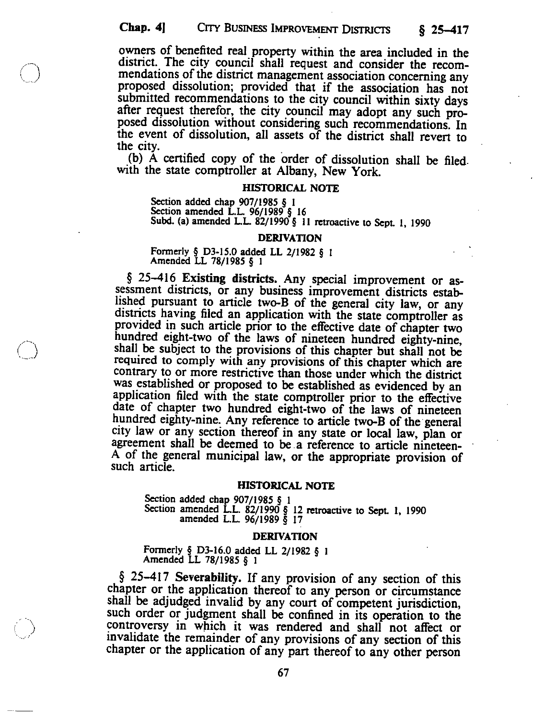owners of benefited real property within the area included in the district. The city council shall request and consider the recom mendations of the district management association concerning any proposed dissolution; provided that if the association has not submitted recommendations to the city council within sixty days after request therefor, the city council may adopt any such pro posed dissolution without considering such recommendations. In the event of dissolution, all assets of the district shall revert to the city.

(b) <sup>A</sup> certified copy of the order of dissolution shall be filed. with the state comptroller at Albany, New York.

# HISTORICAL NOTE

Section added chap 907/1985 § 1<br>Section amended L.L. 96/1989 § 16<br>Subd. (a) amended L.L. 82/1990 § 11 retroactive to Sept. 1, 1990

#### DERIVATION

Formerly § D3-15.0 added LL 2/1982 § <sup>I</sup> Amended LL 78/1985 § <sup>1</sup>

 $\S$  25-416 Existing districts. Any special improvement or assessment districts, or any business improvement districts established pursuant to article two-B of the general city law, or any districts having filed an applica provided in such article prior to the effective date of chapter two<br>hundred eight-two of the laws of nineteen hundred eighty-nine,<br>shall be subject to the provisions of this chapter but shall not be<br>required to comply with contrary to or more restrictive than those under which the district was established or proposed to be established as evidenced by an application filed with the state comptroller prior to the effective date of chapter two hundred eight-two of the laws of nineteen hundred eighty-nine. Any reference to article two-B of the general city law or any section thereof in any state or local law, plan or agreement shall be deemed to be a reference to article nineteen-A of the general municipal law, or the appropriate provision of such article.

#### HISTORICAL NOTE

Section added chap 907/1985 § 1<br>Section amended L.L. 82/1990 § 12 retroactive to Sept. 1, 1990<br>amended L.L. 96/1989 § 17

#### DERIVATION

Formerly § D3-16.0 added LL 2/1982 § <sup>I</sup> Amended LL 78/1985 § <sup>I</sup>

 $$ 25-417$  Severability. If any provision of any section of this chapter or the application thereof to any person or circumstance shall be adjudged invalid by any court of competent jurisdiction, such order or judgment shall be confined in its operation to the controversy in which it was rendered and shall not affect or invalidate the remainder of any provisions of any section of this chapter or the application of any part thereof to any other person